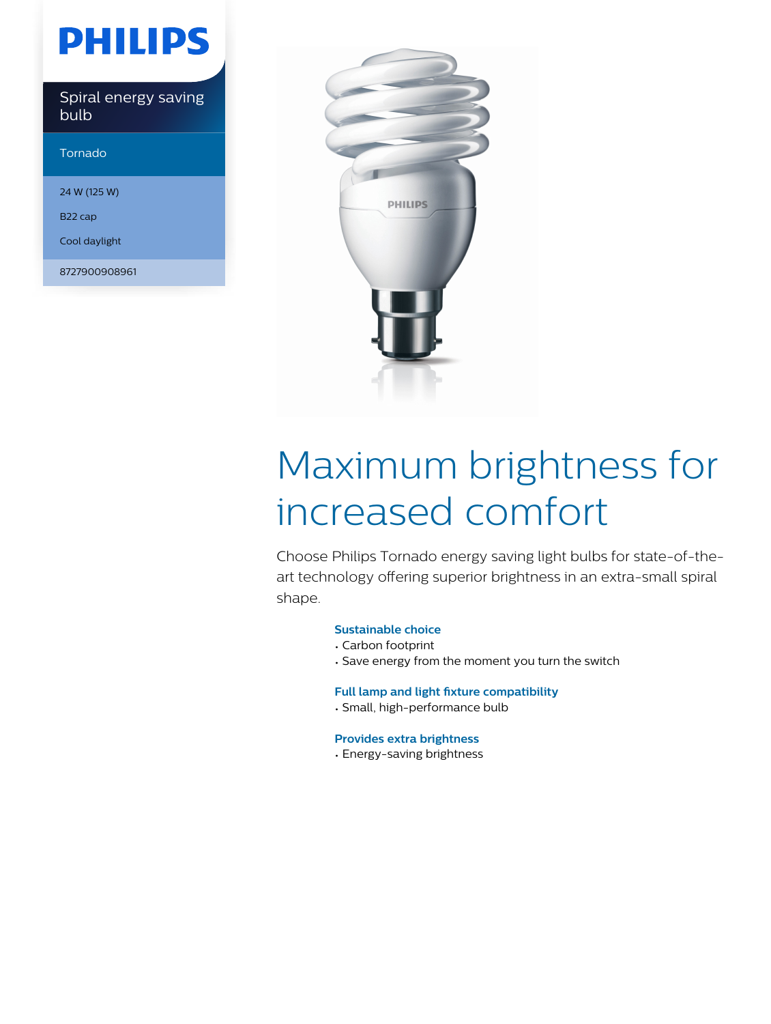## **PHILIPS**

Spiral energy saving bulb

Tornado

24 W (125 W)

B22 cap

Cool daylight

8727900908961



# Maximum brightness for increased comfort

Choose Philips Tornado energy saving light bulbs for state-of-theart technology offering superior brightness in an extra-small spiral shape.

#### **Sustainable choice**

- Carbon footprint
- Save energy from the moment you turn the switch

#### **Full lamp and light fixture compatibility**

• Small, high-performance bulb

#### **Provides extra brightness**

• Energy-saving brightness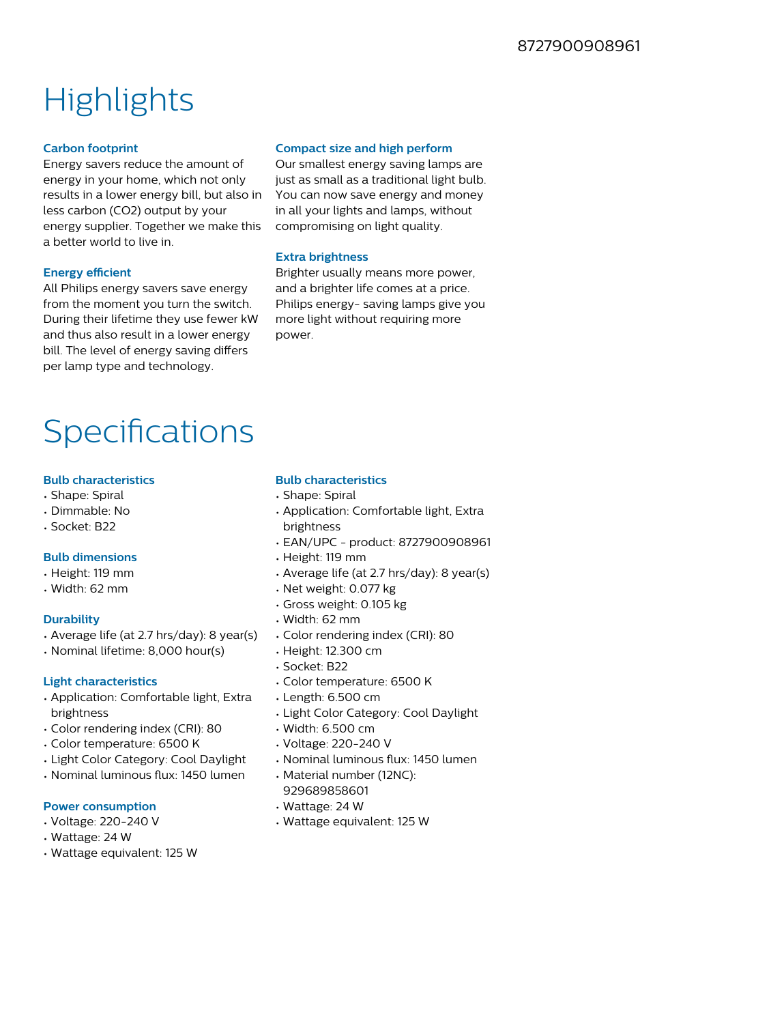### **Highlights**

#### **Carbon footprint**

Energy savers reduce the amount of energy in your home, which not only results in a lower energy bill, but also in less carbon (CO2) output by your energy supplier. Together we make this a better world to live in.

#### **Energy efficient**

All Philips energy savers save energy from the moment you turn the switch. During their lifetime they use fewer kW and thus also result in a lower energy bill. The level of energy saving differs per lamp type and technology.

#### **Compact size and high perform**

Our smallest energy saving lamps are just as small as a traditional light bulb. You can now save energy and money in all your lights and lamps, without compromising on light quality.

#### **Extra brightness**

Brighter usually means more power, and a brighter life comes at a price. Philips energy- saving lamps give you more light without requiring more power.

### **Specifications**

#### **Bulb characteristics**

- Shape: Spiral
- Dimmable: No
- Socket: B22

#### **Bulb dimensions**

- Height: 119 mm
- Width: 62 mm

#### **Durability**

- Average life (at 2.7 hrs/day): 8 year(s)
- Nominal lifetime: 8,000 hour(s)

#### **Light characteristics**

- Application: Comfortable light, Extra brightness
- Color rendering index (CRI): 80
- Color temperature: 6500 K
- Light Color Category: Cool Daylight
- Nominal luminous flux: 1450 lumen

#### **Power consumption**

- Voltage: 220-240 V
- Wattage: 24 W
- Wattage equivalent: 125 W

#### **Bulb characteristics**

- Shape: Spiral
- Application: Comfortable light, Extra brightness
- EAN/UPC product: 8727900908961
- Height: 119 mm
- Average life (at 2.7 hrs/day): 8 year(s)
- Net weight: 0.077 kg
- Gross weight: 0.105 kg
- Width: 62 mm
- Color rendering index (CRI): 80
- Height: 12.300 cm
- Socket: B22
- Color temperature: 6500 K
- Length: 6.500 cm
- Light Color Category: Cool Daylight
- Width: 6.500 cm
- Voltage: 220-240 V
- Nominal luminous flux: 1450 lumen
- Material number (12NC):
- 929689858601
- Wattage: 24 W
- Wattage equivalent: 125 W